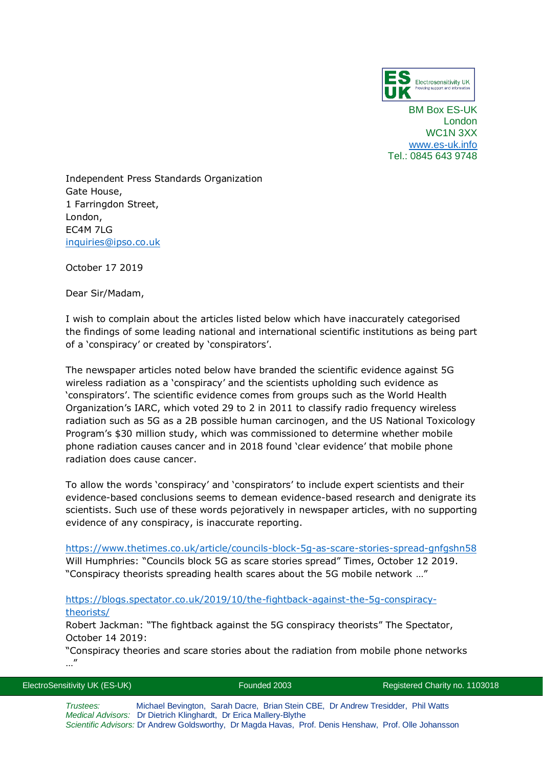

BM Box ES-UK London WC1N 3XX [www.es-uk.info](http://www.es-uk.info/) Tel.: 0845 643 9748

Independent Press Standards Organization Gate House, 1 Farringdon Street, London, EC4M 7LG [inquiries@ipso.co.uk](mailto:inquiries@ipso.co.uk)

October 17 2019

Dear Sir/Madam,

I wish to complain about the articles listed below which have inaccurately categorised the findings of some leading national and international scientific institutions as being part of a 'conspiracy' or created by 'conspirators'.

The newspaper articles noted below have branded the scientific evidence against 5G wireless radiation as a 'conspiracy' and the scientists upholding such evidence as 'conspirators'. The scientific evidence comes from groups such as the World Health Organization's IARC, which voted 29 to 2 in 2011 to classify radio frequency wireless radiation such as 5G as a 2B possible human carcinogen, and the US National Toxicology Program's \$30 million study, which was commissioned to determine whether mobile phone radiation causes cancer and in 2018 found 'clear evidence' that mobile phone radiation does cause cancer.

To allow the words 'conspiracy' and 'conspirators' to include expert scientists and their evidence-based conclusions seems to demean evidence-based research and denigrate its scientists. Such use of these words pejoratively in newspaper articles, with no supporting evidence of any conspiracy, is inaccurate reporting.

<https://www.thetimes.co.uk/article/councils-block-5g-as-scare-stories-spread-gnfgshn58> Will Humphries: "Councils block 5G as scare stories spread" Times, October 12 2019. "Conspiracy theorists spreading health scares about the 5G mobile network …"

## [https://blogs.spectator.co.uk/2019/10/the-fightback-against-the-5g-conspiracy](https://blogs.spectator.co.uk/2019/10/the-fightback-against-the-5g-conspiracy-theorists/)[theorists/](https://blogs.spectator.co.uk/2019/10/the-fightback-against-the-5g-conspiracy-theorists/)

Robert Jackman: "The fightback against the 5G conspiracy theorists" The Spectator, October 14 2019:

"Conspiracy theories and scare stories about the radiation from mobile phone networks …"

| ElectroSensitivity UK (ES-UK) | Founded 2003                                                                                                                                          | Registered Charity no. 1103018 |
|-------------------------------|-------------------------------------------------------------------------------------------------------------------------------------------------------|--------------------------------|
| Trustees:                     | Michael Bevington, Sarah Dacre, Brian Stein CBE, Dr Andrew Tresidder, Phil Watts<br>Medical Advisors: Dr Dietrich Klinghardt, Dr Erica Mallery-Blythe |                                |

*Scientific Advisors:* Dr Andrew Goldsworthy, Dr Magda Havas, Prof. Denis Henshaw, Prof. Olle Johansson